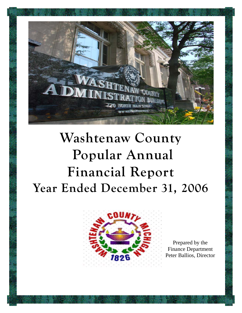

# **Washtenaw County Popular Annual Financial Report Year Ended December 31, 2006**



Prepared by the Finance Department Peter Ballios, Director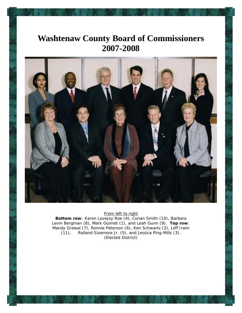## **Washtenaw County Board of Commissioners 2007-2008**



#### From left to right

**Bottom row**: Karen Lovejoy Roe (4), Conan Smith (10), Barbara Levin Bergman (8), Mark Ouimet (1), and Leah Gunn (9). **Top row**: Mandy Grewal (7), Ronnie Peterson (6), Ken Schwartz (2), Jeff Irwin (11), Rolland Sizemore Jr. (5), and Jessica Ping-Mills (3). (Elected District)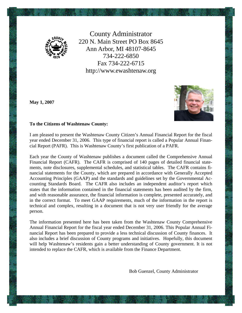

County Administrator 220 N. Main Street PO Box 8645 Ann Arbor, MI 48107-8645 734-222-6850 Fax 734-222-6715 http://www.ewashtenaw.org

**May 1, 2007** 



#### **To the Citizens of Washtenaw County:**

I am pleased to present the Washtenaw County Citizen's Annual Financial Report for the fiscal year ended December 31, 2006. This type of financial report is called a Popular Annual Financial Report (PAFR). This is Washtenaw County's first publication of a PAFR.

Each year the County of Washtenaw publishes a document called the Comprehensive Annual Financial Report (CAFR). The CAFR is comprised of 140 pages of detailed financial statements, note disclosures, supplemental schedules, and statistical tables. The CAFR contains financial statements for the County, which are prepared in accordance with Generally Accepted Accounting Principles (GAAP) and the standards and guidelines set by the Governmental Accounting Standards Board. The CAFR also includes an independent auditor's report which states that the information contained in the financial statements has been audited by the firm, and with reasonable assurance, the financial information is complete, presented accurately, and in the correct format. To meet GAAP requirements, much of the information in the report is technical and complex, resulting in a document that is not very user friendly for the average person.

The information presented here has been taken from the Washtenaw County Comprehensive Annual Financial Report for the fiscal year ended December 31, 2006. This Popular Annual Financial Report has been prepared to provide a less technical discussion of County finances. It also includes a brief discussion of County programs and initiatives. Hopefully, this document will help Washtenaw's residents gain a better understanding of County government. It is not intended to replace the CAFR, which is available from the Finance Department.

Bob Guenzel, County Administrator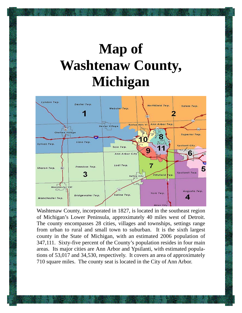# **Map of Washtenaw County, Michigan**



Washtenaw County, incorporated in 1827, is located in the southeast region of Michigan's Lower Peninsula, approximately 40 miles west of Detroit. The county encompasses 28 cities, villages and townships, settings range from urban to rural and small town to suburban. It is the sixth largest county in the State of Michigan, with an estimated 2006 population of 347,111. Sixty-five percent of the County's population resides in four main areas. Its major cities are Ann Arbor and Ypsilanti, with estimated populations of 53,017 and 34,530, respectively. It covers an area of approximately 710 square miles. The county seat is located in the City of Ann Arbor.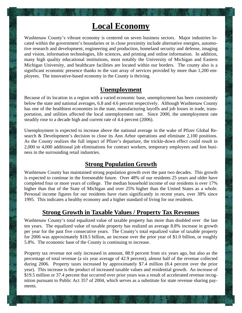## **Local Economy**

Washtenaw County's vibrant economy is centered on seven business sectors. Major industries located within the government's boundaries or in close proximity include alternative energies, automotive research and development, engineering and production, homeland security and defense, imaging and vision, information technologies, life sciences, and printing and online information. In addition, many high quality educational institutions, most notably the University of Michigan and Eastern Michigan University, and healthcare facilities are located within our borders. The county also is a significant economic presence thanks to the vast array of services provided by more than 1,200 employees. The innovative-based economy in the County is thriving.

#### **Unemployment**

Because of its location in a region with a varied economic base, unemployment has been consistently below the state and national averages, 6.8 and 4.6 percent respectively. Although Washtenaw County has one of the healthiest economies in the state, manufacturing layoffs and job losses in trade, transportation, and utilities affected the local unemployment rate. Since 2000, the unemployment rate steadily rose to a decade high and current rate of 4.4 percent (2006).

Unemployment is expected to increase above the national average in the wake of Pfizer Global Research & Development's decision to close its Ann Arbor operations and eliminate 2,100 positions. As the County realizes the full impact of Pfizer's departure, the trickle-down effect could result in 2,000 to 4,000 additional job eliminations for contract workers, temporary employees and lost business in the surrounding retail industries.

#### **Strong Population Growth**

Washtenaw County has maintained strong population growth over the past two decades. This growth is expected to continue in the foreseeable future. Over 48% of our residents 25 years and older have completed four or more years of college. The median household income of our residents is over 17% higher than that of the State of Michigan and over 25% higher than the United States as a whole. Personal income figures for our residents have risen significantly in recent years, over 38% since 1995. This indicates a healthy economy and a higher standard of living for our residents.

#### **Strong Growth in Taxable Values / Property Tax Revenues**

Washtenaw County's total equalized value of taxable property has more than doubled over the last ten years. The equalized value of taxable property has realized an average 8.8% increase in growth per year for the past five consecutive years. The County's total equalized value of taxable property for 2006 was approximately \$18.5 billion, an increase over the prior year of \$1.0 billion, or roughly 5.8%. The economic base of the County is continuing to increase.

Property tax revenue not only increased in amount, 88.9 percent from six years ago, but also as the percentage of total revenue (a six year average of 42.9 percent), almost half of the revenue collected during 2006. Property taxes increased by approximately \$7.4 million (8.4 percent over the prior year). This increase is the product of increased taxable values and residential growth. An increase of \$19.5 million or 37.4 percent that occurred over prior years was a result of accelerated revenue recognition pursuant to Public Act 357 of 2004, which serves as a substitute for state revenue sharing payments.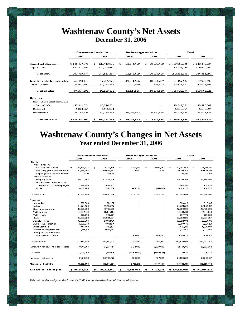### **Washtenaw County's Net Assets December 31, 2006**

|                                   |               | <b>Governmental activities</b> |             |      | <b>Business-type activities</b> |      |            | <b>Total</b>  |               |  |
|-----------------------------------|---------------|--------------------------------|-------------|------|---------------------------------|------|------------|---------------|---------------|--|
|                                   | 2005<br>2006  |                                |             | 2006 |                                 | 2005 |            | 2006          | 2005          |  |
| Current and other assets          | \$146,437,976 | \$                             | 128,440,906 | \$   | 22,615,409                      | \$   | 20,037,428 | \$169,053,385 | \$148,478,334 |  |
| Capital assets                    | 123,301,798   |                                | 116,410,463 |      |                                 |      |            | 123,301,798   | 116,410,463   |  |
| Total assets                      | 269,739,774   |                                | 244,851,369 |      | 22,615,409                      |      | 20,037,428 | 292,355,183   | 264,888,797   |  |
| Long-term liabilities outstanding | 69,458,113    |                                | 47,905,323  |      | 12,011,586                      |      | 10,011,207 | 81,469,699    | 57,916,530    |  |
| Other liabilities                 | 24,938,695    |                                | 42,723,293  |      | 517,950                         |      | 303,403    | 25,456,645    | 43,026,696    |  |
| <b>Total liabilities</b>          | 94,396,808    |                                | 90,628,616  |      | 12,529,536                      |      | 10,314,610 | 106,926,344   | 100,943,226   |  |
| Net assets:                       |               |                                |             |      |                                 |      |            |               |               |  |
| Invested in capital assets, net   |               |                                |             |      |                                 |      |            |               |               |  |
| of related debt                   | 90,342,374    |                                | 80,296,301  |      | -                               |      |            | 90,342,374    | 80,296,301    |  |
| Restricted                        | 6,812,864     |                                | 6,676,094   |      |                                 |      |            | 6,812,864     | 6,676,094     |  |
| Unrestricted                      | 78,187,728    |                                | 67,250,358  |      | 10,085,873                      |      | 9,722,818  | 88,273,601    | 76,973,176    |  |
| Total net assets                  | \$175,342,966 | \$                             | 154,222,753 |      | 10,085,873                      | S    | 9,722,818  | \$185,428,839 | \$163,945,571 |  |

### **Washtenaw County's Changes in Net Assets Year ended December 31, 2006**

|                                        | <b>Governmental activities</b> |                  |     | <b>Business-type activities</b> |    |             | Total |               |    |               |
|----------------------------------------|--------------------------------|------------------|-----|---------------------------------|----|-------------|-------|---------------|----|---------------|
|                                        | 2006                           | 2005             |     | 2006                            |    | 2005        |       | 2006          |    | 2005          |
| Revenue:                               |                                |                  |     |                                 |    |             |       |               |    |               |
| Program revenue:                       |                                |                  |     |                                 |    |             |       |               |    |               |
| Charges for services                   | 29,738,776<br>\$.              | \$<br>32,766,765 | \$. | 3,566,189                       | \$ | 3,048,951   | \$.   | 33,304,965    | \$ | 35,815,716    |
| Operating grants and contributi        | 61,329,306                     | 60,027,293       |     | 11,960                          |    | 27,424      |       | 61,341,266    |    | 60,054,717    |
| Capital grants and contribution        | 76,441                         | 211,159          |     |                                 |    |             |       | 76,441        |    | 211,159       |
| General revenue:                       |                                |                  |     |                                 |    |             |       |               |    |               |
| Property taxes                         | 95,271,757                     | 87,864,506       |     |                                 |    |             |       | 95,271,757    |    | 87,864,506    |
| Grants and contributions not           |                                |                  |     |                                 |    |             |       |               |    |               |
| restricted to specific prograr         | 366,250                        | 457.637          |     |                                 |    |             |       | 366,250       |    | 457.637       |
| Other                                  | 4,150,209                      | 2,558,336        |     | 763,766                         |    | (141,666)   |       | 4,913,975     |    | 2,416,670     |
| <b>Total revenue</b>                   | 190,932,739                    | 183,885,696      |     | 4,341,915                       |    | 2,934,709   |       | 195,274,654   |    | 186,820,405   |
| Expenses:                              |                                |                  |     |                                 |    |             |       |               |    |               |
| Legislative                            | 539,323                        | 722.185          |     |                                 |    |             |       | 539.323       |    | 722.185       |
| Judicial                               | 24,021,026                     | 22,588,152       |     |                                 |    |             |       | 24,021,026    |    | 22,588,152    |
| General government                     | 17,350,638                     | 18,760,566       |     |                                 |    |             |       | 17,350,638    |    | 18,760,566    |
| Public safety                          | 46,907,810                     | 45,341,263       |     |                                 |    |             |       | 46,907,810    |    | 45,341,263    |
| Public works                           | 869,372                        | 608,029          |     |                                 |    |             |       | 869,372       |    | 608,029       |
| Health                                 | 38,859,023                     | 35,694,857       |     |                                 |    |             |       | 38,859,023    |    | 35,694,857    |
| Social services                        | 30,222,984                     | 26,681,106       |     |                                 |    |             |       | 30,222,984    |    | 26,681,106    |
| Culture and recreation                 | 7,998,879                      | 6,891,231        |     |                                 |    |             |       | 7,998,879     |    | 6,891,231     |
| Other activities                       | 4,506,919                      | 4,336,497        |     |                                 |    |             |       | 4,506,919     |    | 4,336,497     |
| Interest on long-term debt             | 1,375,511                      | 1,027,653        |     |                                 |    |             |       | 1,375,511     |    | 1,027,653     |
| Delinquent tax collections             |                                |                  |     |                                 |    |             |       |               |    |               |
| and related activities                 |                                |                  |     | 1,218,973                       |    | 905,801     |       | 1,218,973     |    | 905,801       |
| <b>Total expenses</b>                  | 172,651,485                    | 162,651,539      |     | 1,218,973                       |    | 905,801     |       | 173,870,458   |    | 163,557,340   |
| Increase in net assets before transfer | 18.281.254                     | 21,234,157       |     | 3,122,942                       |    | 2,028,908   |       | 21,404,196    |    | 23.263.065    |
| Transfers                              | 2,838,959                      | 2,546,616        |     | (2,759,887)                     |    | (1,921,574) |       | 79.072        |    | 625.042       |
| Increase in net assets                 | 21,120,213                     | 23,780,773       |     | 363,055                         |    | 107,334     |       | 21,483,268    |    | 23,888,107    |
| Net assets - beginning                 | 154,222,753                    | 130,441,980      |     | 9,722,818                       |    | 9,615,484   |       | 163,945,571   |    | 140,057,464   |
| Net assets - end of year               | \$175,342,966                  | 154,222,753      |     | 10,085,873                      |    | 9,722,818   |       | \$185,428,839 |    | \$163,945,571 |
|                                        |                                |                  |     |                                 |    |             |       |               |    |               |

*This data is derived from the County's 2006 Comprehensive Annual Financial Report.*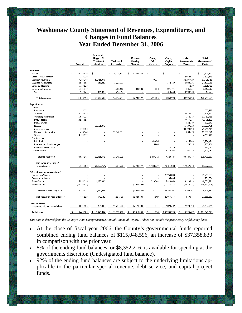#### **Washtenaw County Statement of Revenues, Expenditures, and Changes in Fund Balances Year Ended December 31, 2006**

|                                | General          | Community<br>Support &<br>Treatment<br>Services | Parks and<br>Recreation | Revenue<br>Sharing<br>Reserve | County<br>Debt<br>Service | County<br>Capital<br>Projects | Other<br>Governmental<br>Funds | <b>Total</b><br>Governmental<br>Funds |
|--------------------------------|------------------|-------------------------------------------------|-------------------------|-------------------------------|---------------------------|-------------------------------|--------------------------------|---------------------------------------|
| Revenues                       |                  |                                                 |                         |                               |                           |                               |                                |                                       |
| Taxes                          | \$<br>66,237,030 | \$                                              | \$<br>9,738,192         | 19,296,535<br>\$              | \$                        | \$                            | \$                             | \$<br>95,271,757                      |
| Licenses and permits           | 174,530          |                                                 |                         |                               |                           |                               | 2,662,811                      | 2,837,341                             |
| Intergovernmental              | 5,308,246        | 19,731,075                                      |                         |                               | 470,151                   |                               | 32,397,459                     | 57,906,931                            |
| Charges for services           | 16,911,965       | 365,040                                         | 3,221,211               |                               |                           | 574,489                       | 3,600,326                      | 24,673,031                            |
| Fines and forfeits             | 1,118,938        |                                                 |                         |                               |                           |                               | 66,530                         | 1,185,468                             |
| Investment income              | 1,145,749        |                                                 | 1,061,558               | 448,842                       | 1,134                     | 875,171                       | 226,765                        | 3,759,219                             |
| Other                          | 917,865          | 446,493                                         | 214,014                 |                               | $\overline{a}$            | 418,663                       | 3,322,943                      | 5,319,978                             |
| Total revenues                 | 91,814,323       | 20,542,608                                      | 14.234.975              | 19,745,377                    | 471,285                   | 1,868,323                     | 42,276,834                     | 190,953,725                           |
| Expenditures<br>Current:       |                  |                                                 |                         |                               |                           |                               |                                |                                       |
| Legislative                    | 527,328          |                                                 |                         |                               |                           |                               |                                | 527,328                               |
| Judicial                       | 16.216.012       |                                                 |                         |                               |                           |                               | 6,682,837                      | 22,898,849                            |
| General government             | 11,648,323       |                                                 |                         |                               |                           |                               | 312,245                        | 11,960,568                            |
| Public safety                  | 40,911,096       |                                                 |                         |                               |                           |                               | 5,087,227                      | 45,998,323                            |
| Public works                   |                  |                                                 |                         |                               |                           |                               | 832,179                        | 832,179                               |
| Health                         |                  | 21,681,372                                      |                         |                               |                           |                               | 16,139,353                     | 37,820,725                            |
| Social services                | 1,574,522        |                                                 |                         |                               |                           |                               | 28,190,894                     | 29,765,416                            |
| Culture and recreation         | 654,343          |                                                 | 12,340,075              |                               |                           |                               | 844,653                        | 13,839,071                            |
| Other                          | 4,506,919        |                                                 |                         |                               |                           |                               |                                | 4,506,919                             |
| Debt service:                  |                  |                                                 |                         |                               |                           |                               |                                |                                       |
| Principal                      |                  |                                                 |                         |                               | 1,369,476                 |                               | 1,615,000                      | 2,984,476                             |
| Interest and fiscal charges    |                  |                                                 |                         |                               | 825,866                   |                               | 374,385                        | 1,200,251                             |
| Bond issuance costs            |                  |                                                 |                         |                               |                           | 183,585                       |                                | 183,585                               |
| Capital outlay                 |                  |                                                 |                         |                               |                           | 7,136,562                     | 67,375                         | 7,203,937                             |
|                                |                  |                                                 |                         |                               |                           |                               |                                |                                       |
| Total expenditures             | 76,038,543       | 21,681,372                                      | 12,340,075              |                               | 2,195,342                 | 7,320,147                     | 60,146,148                     | 179,721,627                           |
| Revenues over (under)          |                  |                                                 |                         |                               |                           |                               |                                |                                       |
| expenditures                   | 15,775,780       | (1, 138, 764)                                   | 1,894,900               | 19,745,377                    | (1,724,057)               | (5,451,824)                   | (17,869,314)                   | 11,232,098                            |
| Other financing sources (uses) |                  |                                                 |                         |                               |                           |                               |                                |                                       |
| Issuance of bonds              |                  |                                                 |                         |                               |                           | 23,750,000                    |                                | 23,750,000                            |
| Premium on bonds               |                  |                                                 |                         |                               |                           | 236,004                       |                                | 236,004                               |
| Transfers in                   | 6,958,254        | 1,280,906                                       |                         |                               | 1,723,248                 | 18,829,469                    | 19,513,999                     | 48,305,876                            |
| Transfers out                  | (22, 332, 075)   |                                                 |                         | (5,920,969)                   |                           | (15, 288, 372)                | (2,623,732)                    | (46, 165, 148)                        |
| Total other sources (uses)     | (15,373,821)     | 1,280,906                                       |                         | (5,920,969)                   | 1,723,248                 | 27,527,101                    | 16,890,267                     | 26,126,732                            |
| Net change in fund balances    | 401,959          | 142,142                                         | 1,894,900               | 13,824,408                    | (809)                     | 22,075,277                    | (979, 047)                     | 37,358,830                            |
| Fund balances:                 |                  |                                                 |                         |                               |                           |                               |                                |                                       |
| Beginning of year, as restated | 8,091,326        | 904,322                                         | 17,234,808              | 29,192,442                    | 1,745                     | 14,890,649                    | 7,374,474                      | 77,689,766                            |
| End of year                    | 8,493,285<br>\$  | \$<br>1,046,464                                 | 19,129,708<br>\$        | 43,016,850<br>£               | 936<br>\$                 | \$36,965,926                  | 6,395,427<br>\$                | \$115,048,596                         |

*This data is derived from the County's 2006 Comprehensive Annual Financial Report. It does not include the proprietary or fiduciary funds.* 

- At the close of fiscal year 2006, the County's governmental funds reported combined ending fund balances of \$115,048,596, an increase of \$37,358,830 in comparison with the prior year.
- 8% of the ending fund balances, or \$8,352,216, is available for spending at the governments discretion (Undesignated fund balance).
- 92% of the ending fund balances are subject to the underlying limitations applicable to the particular special revenue, debt service, and capital project funds.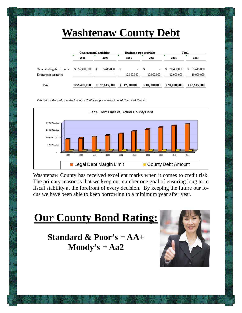# **Washtenaw County Debt**

|                                                  |                          | <b>Governmental activities</b> | Business-type activities            |                                              | Total                           |                                 |  |  |
|--------------------------------------------------|--------------------------|--------------------------------|-------------------------------------|----------------------------------------------|---------------------------------|---------------------------------|--|--|
|                                                  | 2006                     | 2005                           | 2006                                | 2005                                         | 2006                            | 2005                            |  |  |
| General obligation bonds<br>Delinquent tax notes | \$ 56,400,000            | 35,615,000<br>\$               | \$<br>$\sim$ 10 $\pm$<br>12.000.000 | \$<br>$\overline{\phantom{0}}$<br>10.000.000 | 56,400,000<br>\$.<br>12,000,000 | 35,615,000<br>\$.<br>10,000,000 |  |  |
|                                                  | $\overline{\phantom{a}}$ | $\overline{\phantom{a}}$       |                                     |                                              |                                 |                                 |  |  |
| Total                                            | \$56,400,000             | 35.615.000<br>\$               | 12,000,000<br>\$.                   | \$10,000,000                                 | \$68,400,000                    | \$45,615,000                    |  |  |

*This data is derived from the County's 2006 Comprehensive Annual Financial Report.* 



Washtenaw County has received excellent marks when it comes to credit risk. The primary reason is that we keep our number one goal of ensuring long term fiscal stability at the forefront of every decision. By keeping the future our focus we have been able to keep borrowing to a minimum year after year.

# **Our County Bond Rating:**

**Standard & Poor's = AA+ Moody's = Aa2** 

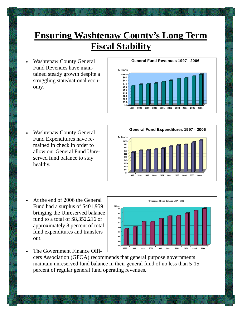# **Ensuring Washtenaw County's Long Term Fiscal Stability**

• Washtenaw County General Fund Revenues have maintained steady growth despite a struggling state/national economy.

#### **General Fund Revenues 1997 - 2006**



• Washtenaw County General Fund Expenditures have remained in check in order to allow our General Fund Unreserved fund balance to stay healthy.



- At the end of 2006 the General Fund had a surplus of \$401,959 bringing the Unreserved balance fund to a total of \$8,352,216 or approximately 8 percent of total fund expenditures and transfers out.
- The Government Finance Offi-

cers Association (GFOA) recommends that general purpose governments maintain unreserved fund balance in their general fund of no less than 5-15 percent of regular general fund operating revenues.

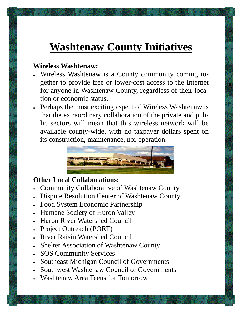# **Washtenaw County Initiatives**

### **Wireless Washtenaw:**

- Wireless Washtenaw is a County community coming together to provide free or lower-cost access to the Internet for anyone in Washtenaw County, regardless of their location or economic status.
- Perhaps the most exciting aspect of Wireless Washtenaw is that the extraordinary collaboration of the private and public sectors will mean that this wireless network will be available county-wide, with no taxpayer dollars spent on its construction, maintenance, nor operation.



### **Other Local Collaborations:**

- Community Collaborative of Washtenaw County
- Dispute Resolution Center of Washtenaw County
- Food System Economic Partnership
- Humane Society of Huron Valley
- Huron River Watershed Council
- Project Outreach (PORT)
- River Raisin Watershed Council
- Shelter Association of Washtenaw County
- SOS Community Services
- Southeast Michigan Council of Governments
- Southwest Washtenaw Council of Governments
- Washtenaw Area Teens for Tomorrow